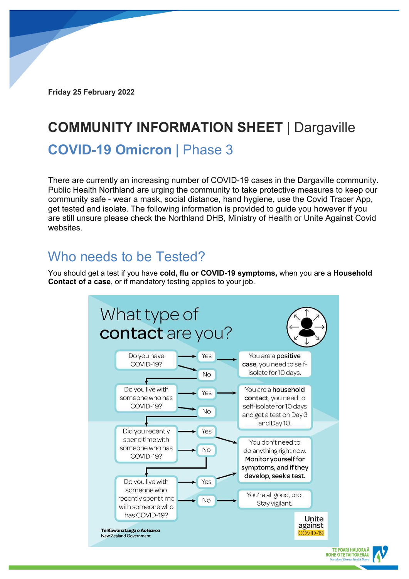**Friday 25 February 2022**

# **COMMUNITY INFORMATION SHEET** | Dargaville

#### **COVID-19 Omicron** | Phase 3

There are currently an increasing number of COVID-19 cases in the Dargaville community. Public Health Northland are urging the community to take protective measures to keep our community safe - wear a mask, social distance, hand hygiene, use the Covid Tracer App, get tested and isolate. The following information is provided to guide you however if you are still unsure please check the Northland DHB, Ministry of Health or Unite Against Covid websites.

#### Who needs to be Tested?

You should get a test if you have **cold, flu or COVID-19 symptoms,** when you are a **Household Contact of a case**, or if mandatory testing applies to your job.

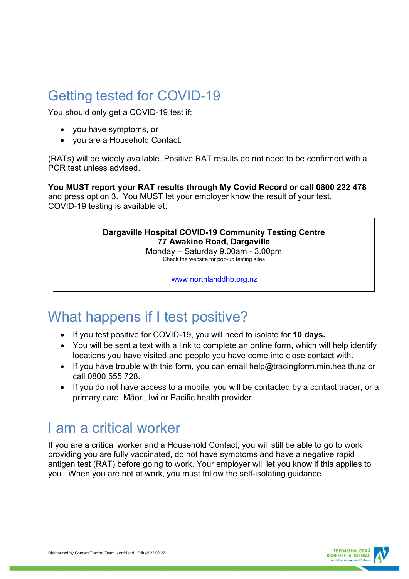### Getting tested for COVID-19

You should only get a COVID-19 test if:

- you have symptoms, or
- you are a Household Contact.

(RATs) will be widely available. Positive RAT results do not need to be confirmed with a PCR test unless advised.

**You MUST report your RAT results through My Covid Record or call 0800 222 478** and press option 3. You MUST let your employer know the result of your test. COVID-19 testing is available at:

#### **Dargaville Hospital COVID-19 Community Testing Centre 77 Awakino Road, Dargaville**

Monday – Saturday 9.00am - 3.00pm Check the website for pop-up testing sites

[www.northlanddhb.org.nz](http://www.northlanddhb.org.nz/)

## What happens if I test positive?

- If you test positive for COVID-19, you will need to isolate for **10 days.**
- You will be sent a text with a link to complete an online form, which will help identify locations you have visited and people you have come into close contact with.
- If you have trouble with this form, you can email help@tracingform.min.health.nz or call 0800 555 728.
- If you do not have access to a mobile, you will be contacted by a contact tracer, or a primary care, Māori, Iwi or Pacific health provider.

#### I am a critical worker

If you are a critical worker and a Household Contact, you will still be able to go to work providing you are fully vaccinated, do not have symptoms and have a negative rapid antigen test (RAT) before going to work. Your employer will let you know if this applies to you. When you are not at work, you must follow the self-isolating guidance.

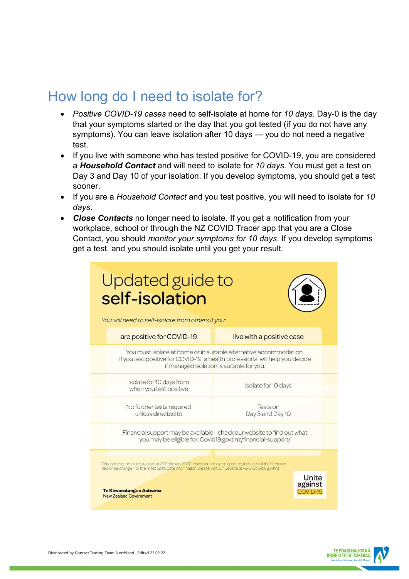### How long do I need to isolate for?

- *Positive COVID-19 cases* need to self-isolate at home for *10 days*. Day-0 is the day that your symptoms started or the day that you got tested (if you do not have any symptoms). You can leave isolation after 10 days — you do not need a negative test.
- If you live with someone who has tested positive for COVID-19, you are considered a *Household Contact* and will need to isolate for *10 days*. You must get a test on Day 3 and Day 10 of your isolation. If you develop symptoms, you should get a test sooner.
- If you are a *Household Contact* and you test positive, you will need to isolate for *10 days*.
- *Close Contacts* no longer need to isolate. If you get a notification from your workplace, school or through the NZ COVID Tracer app that you are a Close Contact, you should *monitor your symptoms for 10 days*. If you develop symptoms get a test, and you should isolate until you get your result.